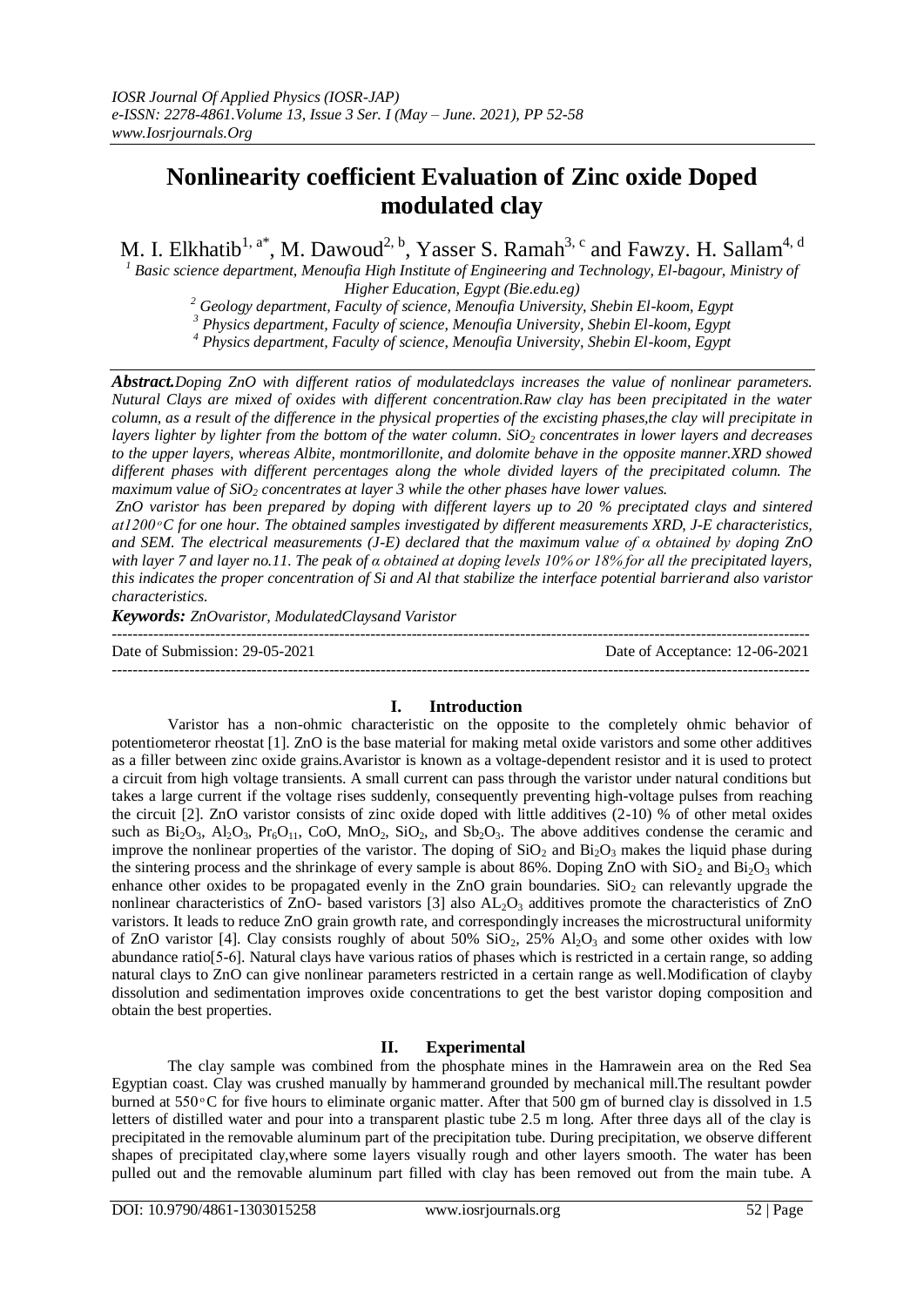# **Nonlinearity coefficient Evaluation of Zinc oxide Doped modulated clay**

M. I. Elkhatib<sup>1, a\*</sup>, M. Dawoud<sup>2, b</sup>, Yasser S. Ramah<sup>3, c</sup> and Fawzy. H. Sallam<sup>4, d</sup>

*<sup>1</sup> Basic science department, Menoufia High Institute of Engineering and Technology, El-bagour, [Ministry of](https://www.google.com/url?client=internal-element-cse&cx=partner-pub-2053701238077821:716cbh-u0k4&q=https://eg.linkedin.com/in/ahmed-el-saeed-3b9146112&sa=U&ved=2ahUKEwjIteui-dfrAhVWThUIHUrrDi8QFjACegQIBxAB&usg=AOvVaw10b7TTwPWOh763ePsfiFxY)  [Higher Education,](https://www.google.com/url?client=internal-element-cse&cx=partner-pub-2053701238077821:716cbh-u0k4&q=https://eg.linkedin.com/in/ahmed-el-saeed-3b9146112&sa=U&ved=2ahUKEwjIteui-dfrAhVWThUIHUrrDi8QFjACegQIBxAB&usg=AOvVaw10b7TTwPWOh763ePsfiFxY) Egypt (Bie.edu.eg)*

*<sup>2</sup> Geology department, Faculty of science, Menoufia University, Shebin El-koom, Egypt*

*<sup>3</sup> Physics department, Faculty of science, Menoufia University, Shebin El-koom, Egypt*

*<sup>4</sup> Physics department, Faculty of science, Menoufia University, Shebin El-koom, Egypt*

*Abstract.Doping ZnO with different ratios of modulatedclays increases the value of nonlinear parameters. Nutural Clays are mixed of oxides with different concentration.Raw clay has been precipitated in the water column, as a result of the difference in the physical properties of the excisting phases,the clay will precipitate in layers lighter by lighter from the bottom of the water column. SiO<sup>2</sup> concentrates in lower layers and decreases to the upper layers, whereas Albite, montmorillonite, and dolomite behave in the opposite manner.XRD showed different phases with different percentages along the whole divided layers of the precipitated column. The maximum value of SiO<sup>2</sup> concentrates at layer 3 while the other phases have lower values.*

*ZnO varistor has been prepared by doping with different layers up to 20 % preciptated clays and sintered C for one hour. The obtained samples investigated by different measurements XRD, J-E characteristics, and SEM. The electrical measurements (J-E) declared that the maximum value of α ob ined by doping ZnO with layer 7 and layer no.11. The peak of α obtained at doping levels 10% or 18% for all the precipitated layers, this indicates the proper concentration of Si and Al that stabilize the interface potential barrierand also varistor characteristics.*

*Keywords: ZnOvaristor, ModulatedClaysand Varistor*

--------------------------------------------------------------------------------------------------------------------------------------- Date of Submission: 29-05-2021 Date of Acceptance: 12-06-2021 ---------------------------------------------------------------------------------------------------------------------------------------

## **I. Introduction**

Varistor has a non-ohmic characteristic on the opposite to the completely ohmic behavior of potentiometeror rheostat [1]. ZnO is the base material for making metal oxide varistors and some other additives as a filler between zinc oxide grains.Avaristor is known as a voltage-dependent resistor and it is used to protect a circuit from high voltage transients. A small current can pass through the varistor under natural conditions but takes a large current if the voltage rises suddenly, consequently preventing high-voltage pulses from reaching the circuit [2]. ZnO varistor consists of zinc oxide doped with little additives (2-10) % of other metal oxides such as  $Bi_2O_3$ ,  $Al_2O_3$ ,  $Pr_6O_{11}$ , CoO, MnO<sub>2</sub>, SiO<sub>2</sub>, and  $Sb_2O_3$ . The above additives condense the ceramic and improve the nonlinear properties of the varistor. The doping of  $SiO<sub>2</sub>$  and  $Bi<sub>2</sub>O<sub>3</sub>$  makes the liquid phase during the sintering process and the shrinkage of every sample is about 86%. Doping ZnO with  $SiO<sub>2</sub>$  and  $Bi<sub>2</sub>O<sub>3</sub>$  which enhance other oxides to be propagated evenly in the ZnO grain boundaries.  $SiO<sub>2</sub>$  can relevantly upgrade the nonlinear characteristics of ZnO- based varistors  $[3]$  also  $AL_2O_3$  additives promote the characteristics of ZnO varistors. It leads to reduce ZnO grain growth rate, and correspondingly increases the microstructural uniformity of ZnO varistor [4]. Clay consists roughly of about  $50\%$  SiO<sub>2</sub>,  $25\%$  Al<sub>2</sub>O<sub>3</sub> and some other oxides with low abundance ratio[5-6]. Natural clays have various ratios of phases which is restricted in a certain range, so adding natural clays to ZnO can give nonlinear parameters restricted in a certain range as well.Modification of clayby dissolution and sedimentation improves oxide concentrations to get the best varistor doping composition and obtain the best properties.

## **II. Experimental**

The clay sample was combined from the phosphate mines in the Hamrawein area on the Red Sea Egyptian coast. Clay was crushed manually by hammerand grounded by mechanical mill.The resultant powder burned at  $550^{\circ}$ C for five hours to eliminate organic matter. After that 500 gm of burned clay is dissolved in 1.5 letters of distilled water and pour into a transparent plastic tube 2.5 m long. After three days all of the clay is precipitated in the removable aluminum part of the precipitation tube. During precipitation, we observe different shapes of precipitated clay,where some layers visually rough and other layers smooth. The water has been pulled out and the removable aluminum part filled with clay has been removed out from the main tube. A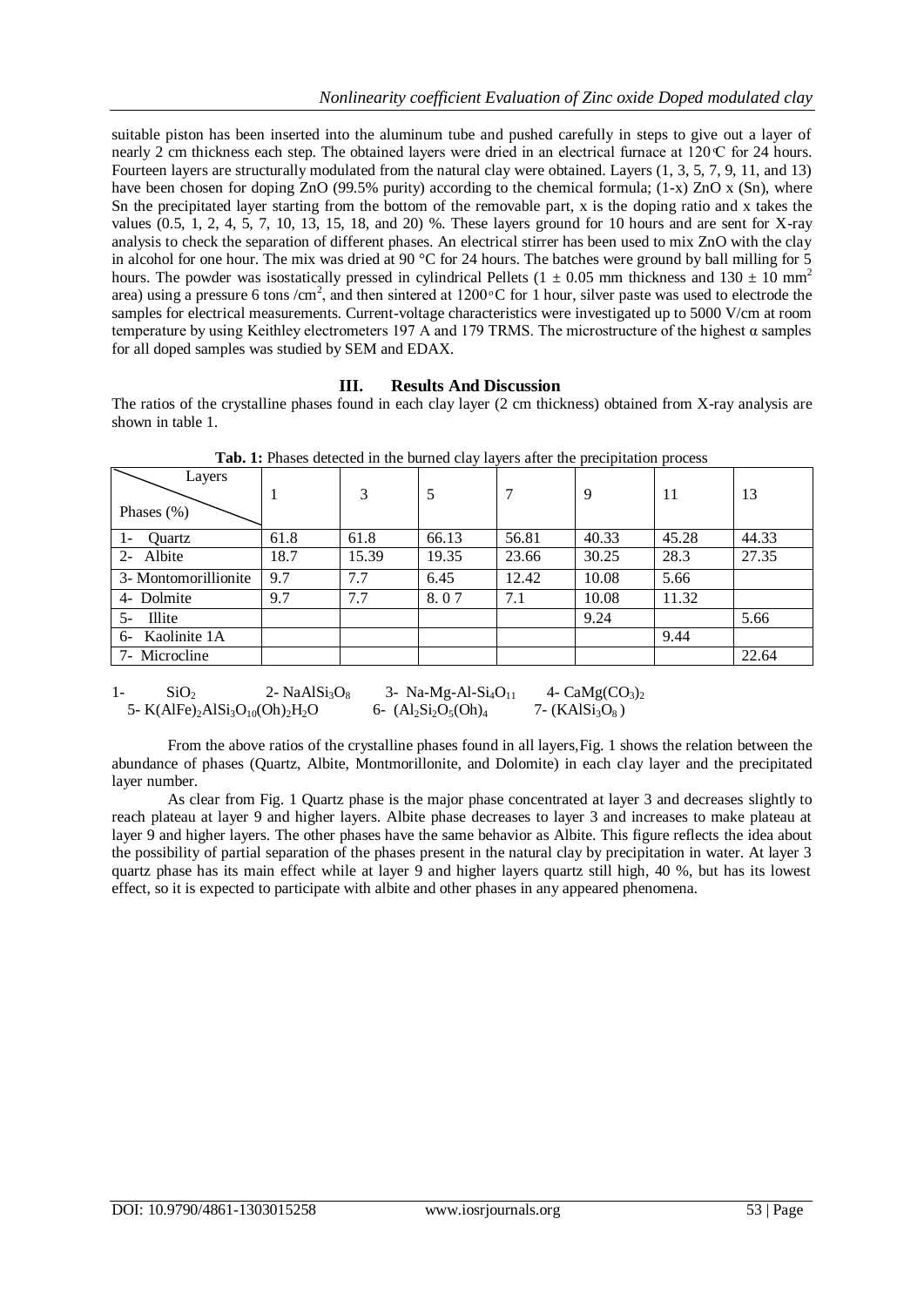suitable piston has been inserted into the aluminum tube and pushed carefully in steps to give out a layer of nearly 2 cm thickness each step. The obtained layers were dried in an electrical furnace at  $120 \text{ C}$  for 24 hours. Fourteen layers are structurally modulated from the natural clay were obtained. Layers (1, 3, 5, 7, 9, 11, and 13) have been chosen for doping ZnO (99.5% purity) according to the chemical formula; (1-x) ZnO x (Sn), where Sn the precipitated layer starting from the bottom of the removable part, x is the doping ratio and x takes the values (0.5, 1, 2, 4, 5, 7, 10, 13, 15, 18, and 20) %. These layers ground for 10 hours and are sent for X-ray analysis to check the separation of different phases. An electrical stirrer has been used to mix ZnO with the clay in alcohol for one hour. The mix was dried at 90  $^{\circ}$ C for 24 hours. The batches were ground by ball milling for 5 hours. The powder was isostatically pressed in cylindrical Pellets (1  $\pm$  0.05 mm thickness and 130  $\pm$  10 mm<sup>2</sup> area) using a pressure 6 tons /cm<sup>2</sup>, and then sintered at 1200 °C for 1 hour, silver paste was used to electrode the samples for electrical measurements. Current-voltage characteristics were investigated up to 5000 V/cm at room temperature by using Keithley electrometers 197 A and 179 TRMS. The microstructure of the highest  $\alpha$  samples for all doped samples was studied by SEM and EDAX.

## **III. Results And Discussion**

The ratios of the crystalline phases found in each clay layer (2 cm thickness) obtained from X-ray analysis are shown in table 1.

|                          |      |       | <u>.</u> |       | л.<br>$\mathbf{I}$ | $\mathbf{r}$ |       |
|--------------------------|------|-------|----------|-------|--------------------|--------------|-------|
| Layers<br>Phases $(\% )$ |      | 3     | 5        |       | -9                 | 11           | 13    |
| Ouartz<br>$1-$           | 61.8 | 61.8  | 66.13    | 56.81 | 40.33              | 45.28        | 44.33 |
| 2- Albite                | 18.7 | 15.39 | 19.35    | 23.66 | 30.25              | 28.3         | 27.35 |
| 3- Montomorillionite     | 9.7  | 7.7   | 6.45     | 12.42 | 10.08              | 5.66         |       |
| 4- Dolmite               | 9.7  | 7.7   | 8.07     | 7.1   | 10.08              | 11.32        |       |
| <b>Illite</b><br>$5-$    |      |       |          |       | 9.24               |              | 5.66  |
| 6- Kaolinite 1A          |      |       |          |       |                    | 9.44         |       |
| 7- Microcline            |      |       |          |       |                    |              | 22.64 |

**Tab. 1:** Phases detected in the burned clay layers after the precipitation process

1-  $SiO_2$  2-  $NaAlSi_3O_8$  3-  $Na-Mg-Al-Si_4O_{11}$  4-  $CaMg(CO_3)$ 5- K(AlFe)<sub>2</sub>AlSi<sub>3</sub>O<sub>10</sub>(Oh)<sub>2</sub>H<sub>2</sub>O 6-  $(A_1S_1O_5(Oh)_4$  7- (KAlSi<sub>3</sub>O<sub>8</sub>)

From the above ratios of the crystalline phases found in all layers,Fig. 1 shows the relation between the abundance of phases (Quartz, Albite, Montmorillonite, and Dolomite) in each clay layer and the precipitated layer number.

As clear from Fig. 1 Quartz phase is the major phase concentrated at layer 3 and decreases slightly to reach plateau at layer 9 and higher layers. Albite phase decreases to layer 3 and increases to make plateau at layer 9 and higher layers. The other phases have the same behavior as Albite. This figure reflects the idea about the possibility of partial separation of the phases present in the natural clay by precipitation in water. At layer 3 quartz phase has its main effect while at layer 9 and higher layers quartz still high, 40 %, but has its lowest effect, so it is expected to participate with albite and other phases in any appeared phenomena.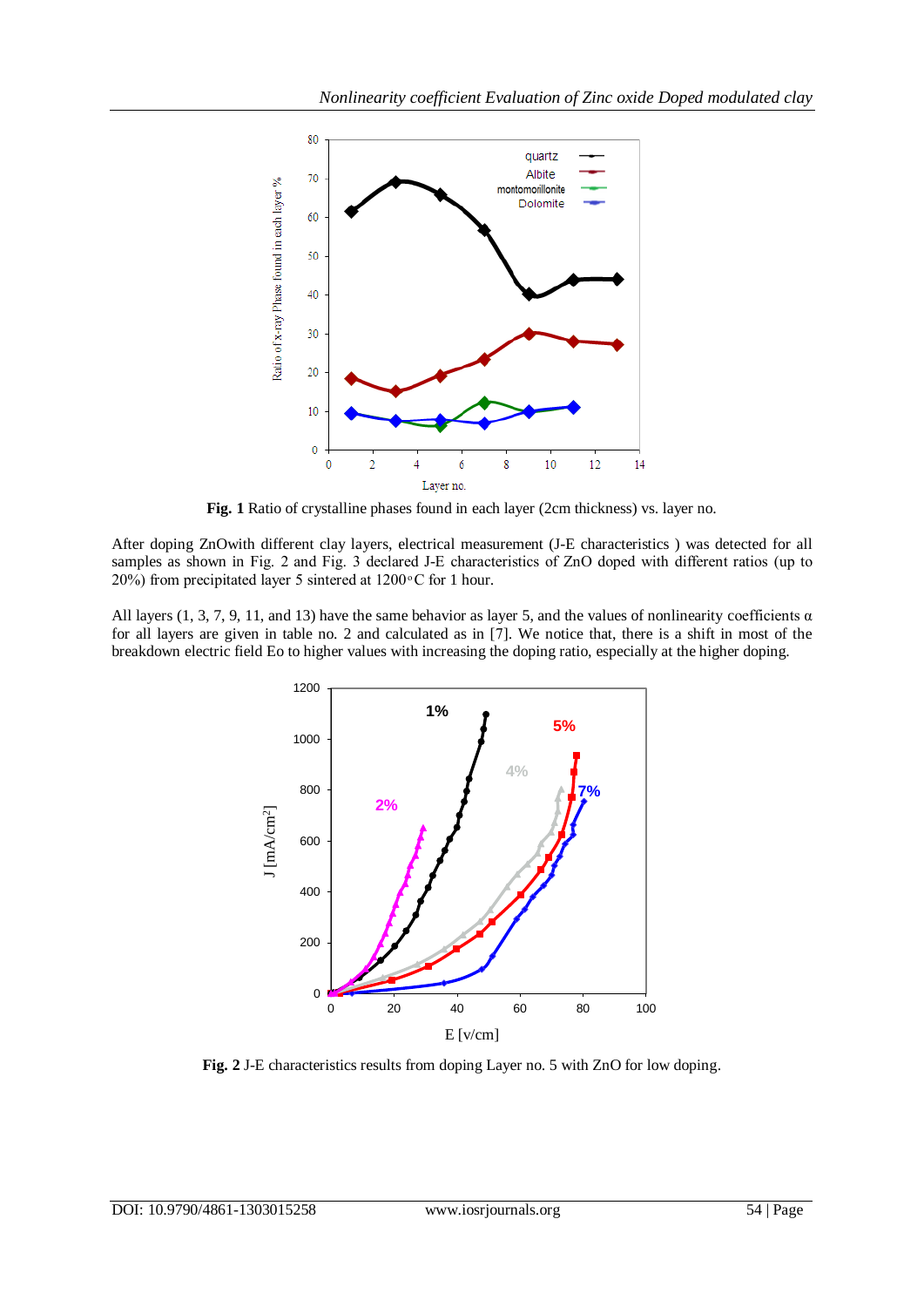

**Fig. 1** Ratio of crystalline phases found in each layer (2cm thickness) vs. layer no.

After doping ZnOwith different clay layers, electrical measurement (J-E characteristics ) was detected for all samples as shown in Fig. 2 and Fig. 3 declared J-E characteristics of ZnO doped with different ratios (up to 20%) from precipitated layer 5 sintered at  $1200\degree$ C for 1 hour.

All layers (1, 3, 7, 9, 11, and 13) have the same behavior as layer 5, and the values of nonlinearity coefficients  $\alpha$ for all layers are given in table no. 2 and calculated as in [7]. We notice that, there is a shift in most of the breakdown electric field Eo to higher values with increasing the doping ratio, especially at the higher doping.



**Fig. 2** J-E characteristics results from doping Layer no. 5 with ZnO for low doping.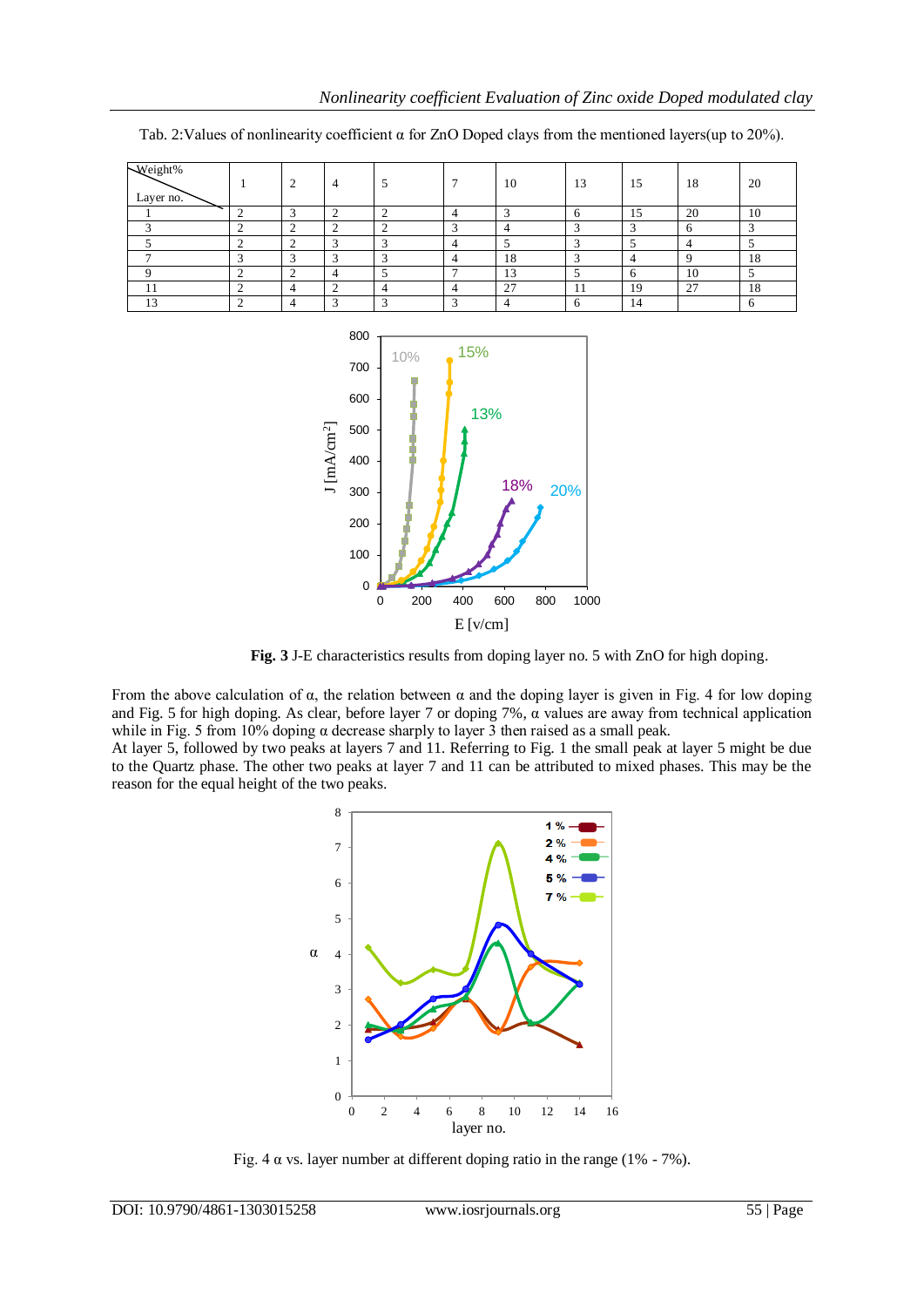| Weight%<br>Layer no. |        | $\sim$ | 4 |   | −              | 10 | 13   | 15           | 18            | 20 |
|----------------------|--------|--------|---|---|----------------|----|------|--------------|---------------|----|
|                      | ╭      |        |   |   | $\overline{4}$ |    |      | 15           | 20            | 10 |
|                      |        |        |   |   | -              |    |      | ╭            | O             |    |
|                      |        |        |   |   | 4              |    |      |              |               |    |
|                      |        |        |   |   | 4              | 18 |      |              |               | 18 |
|                      |        | ◠      |   |   | -              | 13 |      | $\mathbf{a}$ | 10            |    |
| . .                  |        |        |   |   | 4              | 27 | -1-1 | 19           | $\sim$<br>ر ک | 18 |
| 1 <sub>2</sub>       | $\sim$ |        |   | ∽ | ∽              |    |      | 14           |               | n  |

Tab. 2: Values of nonlinearity coefficient  $\alpha$  for ZnO Doped clays from the mentioned layers(up to 20%).



**Fig. 3** J-E characteristics results from doping layer no. 5 with ZnO for high doping.

From the above calculation of  $\alpha$ , the relation between  $\alpha$  and the doping layer is given in Fig. 4 for low doping and Fig. 5 for high doping. As clear, before layer 7 or doping 7%,  $\alpha$  values are away from technical application while in Fig. 5 from 10% doping  $\alpha$  decrease sharply to layer 3 then raised as a small peak.

At layer 5, followed by two peaks at layers 7 and 11. Referring to Fig. 1 the small peak at layer 5 might be due to the Quartz phase. The other two peaks at layer 7 and 11 can be attributed to mixed phases. This may be the reason for the equal height of the two peaks.



Fig.  $4 \alpha$  vs. layer number at different doping ratio in the range ( $1\%$  -  $7\%$ ).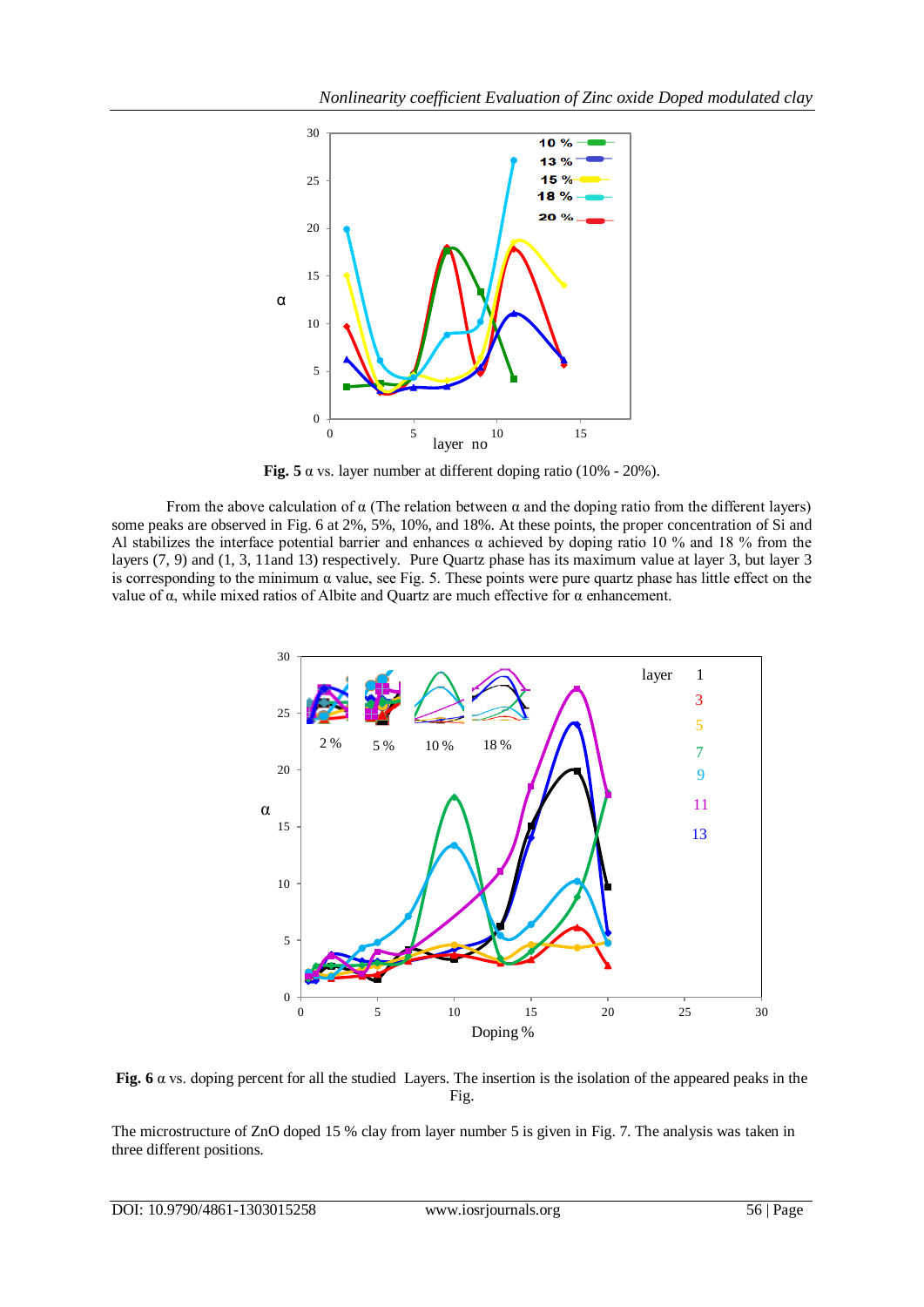

**Fig. 5**  $\alpha$  vs. layer number at different doping ratio (10% - 20%).

From the above calculation of  $\alpha$  (The relation between  $\alpha$  and the doping ratio from the different layers) some peaks are observed in Fig. 6 at 2%, 5%, 10%, and 18%. At these points, the proper concentration of Si and Al stabilizes the interface potential barrier and enhances  $\alpha$  achieved by doping ratio 10 % and 18 % from the layers (7, 9) and (1, 3, 11and 13) respectively. Pure Quartz phase has its maximum value at layer 3, but layer 3 is corresponding to the minimum  $\alpha$  value, see Fig. 5. These points were pure quartz phase has little effect on the value of  $\alpha$ , while mixed ratios of Albite and Quartz are much effective for  $\alpha$  enhancement.



Fig. 6  $\alpha$  vs. doping percent for all the studied Layers. The insertion is the isolation of the appeared peaks in the Fig.

The microstructure of ZnO doped 15 % clay from layer number 5 is given in Fig. 7. The analysis was taken in three different positions.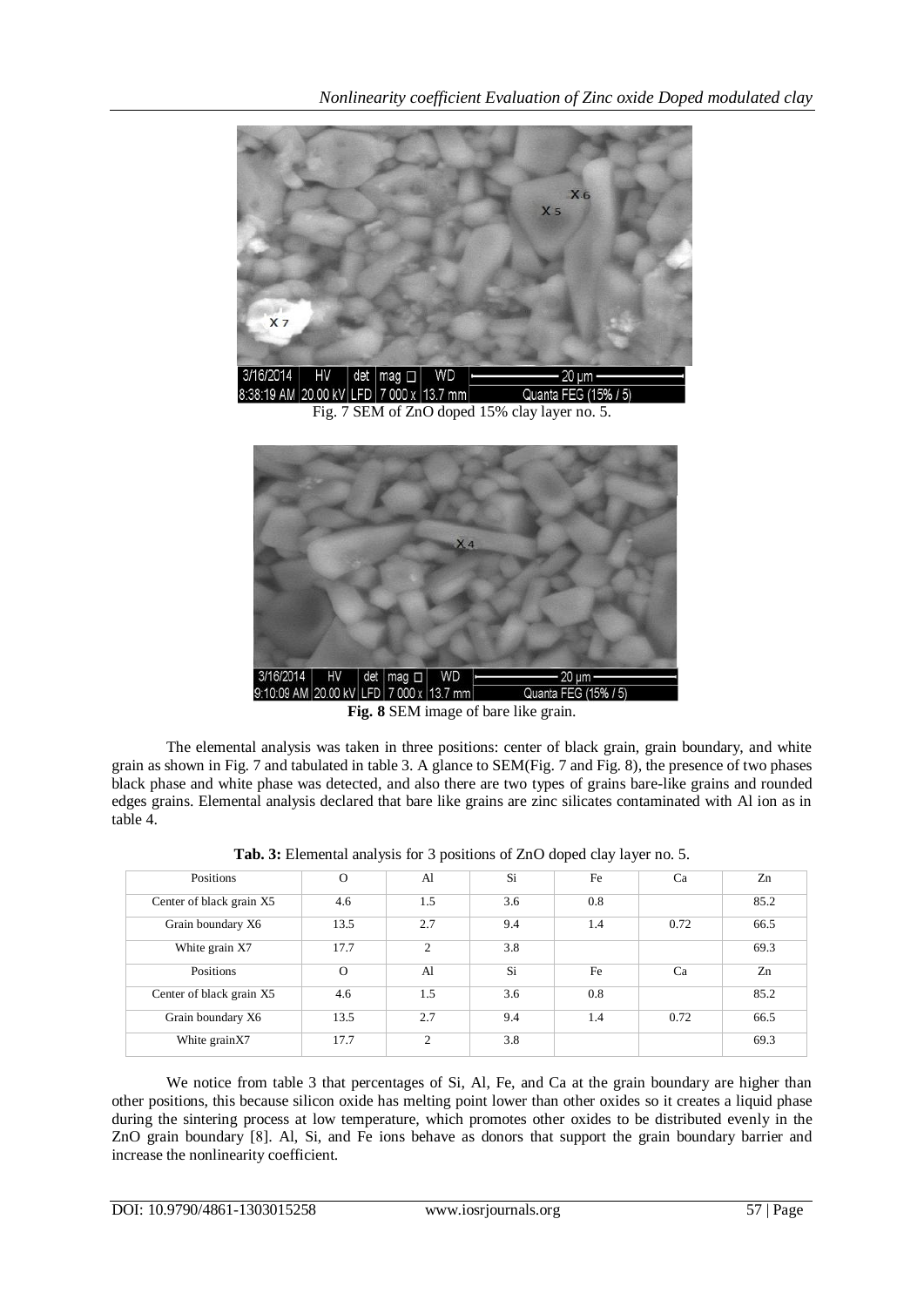

Fig. 7 SEM of ZnO doped 15% clay layer no. 5.



**Fig. 8** SEM image of bare like grain.

The elemental analysis was taken in three positions: center of black grain, grain boundary, and white grain as shown in Fig. 7 and tabulated in table 3. A glance to SEM(Fig. 7 and Fig. 8), the presence of two phases black phase and white phase was detected, and also there are two types of grains bare-like grains and rounded edges grains. Elemental analysis declared that bare like grains are zinc silicates contaminated with Al ion as in table 4.

| Positions                | $\Omega$ | Al             | Si  | Fe  | Ca   | Zn   |
|--------------------------|----------|----------------|-----|-----|------|------|
| Center of black grain X5 | 4.6      | 1.5            | 3.6 | 0.8 |      | 85.2 |
| Grain boundary X6        | 13.5     | 2.7            | 9.4 | 1.4 | 0.72 | 66.5 |
| White grain X7           | 17.7     | $\mathfrak{D}$ | 3.8 |     |      | 69.3 |
| Positions                | $\Omega$ | Al             | Si  | Fe  | Ca   | Zn   |
| Center of black grain X5 | 4.6      | 1.5            | 3.6 | 0.8 |      | 85.2 |
| Grain boundary X6        | 13.5     | 2.7            | 9.4 | 1.4 | 0.72 | 66.5 |
| White grainX7            | 17.7     | $\gamma$       | 3.8 |     |      | 69.3 |

**Tab. 3:** Elemental analysis for 3 positions of ZnO doped clay layer no. 5.

We notice from table 3 that percentages of Si, Al, Fe, and Ca at the grain boundary are higher than other positions, this because silicon oxide has melting point lower than other oxides so it creates a liquid phase during the sintering process at low temperature, which promotes other oxides to be distributed evenly in the ZnO grain boundary [8]. Al, Si, and Fe ions behave as donors that support the grain boundary barrier and increase the nonlinearity coefficient.